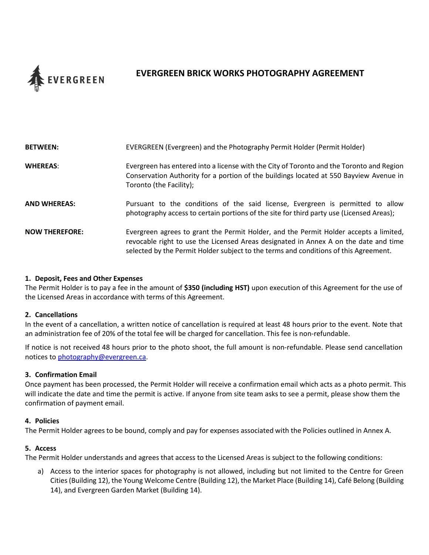

# **EVERGREEN BRICK WORKS PHOTOGRAPHY AGREEMENT**

| <b>BETWEEN:</b>       | EVERGREEN (Evergreen) and the Photography Permit Holder (Permit Holder)                                                                                                                                                                                               |
|-----------------------|-----------------------------------------------------------------------------------------------------------------------------------------------------------------------------------------------------------------------------------------------------------------------|
| <b>WHEREAS:</b>       | Evergreen has entered into a license with the City of Toronto and the Toronto and Region<br>Conservation Authority for a portion of the buildings located at 550 Bayview Avenue in<br>Toronto (the Facility);                                                         |
| AND WHEREAS:          | Pursuant to the conditions of the said license, Evergreen is permitted to allow<br>photography access to certain portions of the site for third party use (Licensed Areas);                                                                                           |
| <b>NOW THEREFORE:</b> | Evergreen agrees to grant the Permit Holder, and the Permit Holder accepts a limited,<br>revocable right to use the Licensed Areas designated in Annex A on the date and time<br>selected by the Permit Holder subject to the terms and conditions of this Agreement. |

#### **1. Deposit, Fees and Other Expenses**

The Permit Holder is to pay a fee in the amount of **\$350 (including HST)** upon execution of this Agreement for the use of the Licensed Areas in accordance with terms of this Agreement.

#### **2. Cancellations**

In the event of a cancellation, a written notice of cancellation is required at least 48 hours prior to the event. Note that an administration fee of 20% of the total fee will be charged for cancellation. This fee is non-refundable.

If notice is not received 48 hours prior to the photo shoot, the full amount is non-refundable. Please send cancellation notices to [photography@evergreen.ca.](mailto:photography@evergreen.ca)

#### **3. Confirmation Email**

Once payment has been processed, the Permit Holder will receive a confirmation email which acts as a photo permit. This will indicate the date and time the permit is active. If anyone from site team asks to see a permit, please show them the confirmation of payment email.

#### **4. Policies**

The Permit Holder agrees to be bound, comply and pay for expenses associated with the Policies outlined in Annex A.

#### **5. Access**

The Permit Holder understands and agrees that access to the Licensed Areas is subject to the following conditions:

a) Access to the interior spaces for photography is not allowed, including but not limited to the Centre for Green Cities (Building 12), the Young Welcome Centre (Building 12), the Market Place (Building 14), Café Belong (Building 14), and Evergreen Garden Market (Building 14).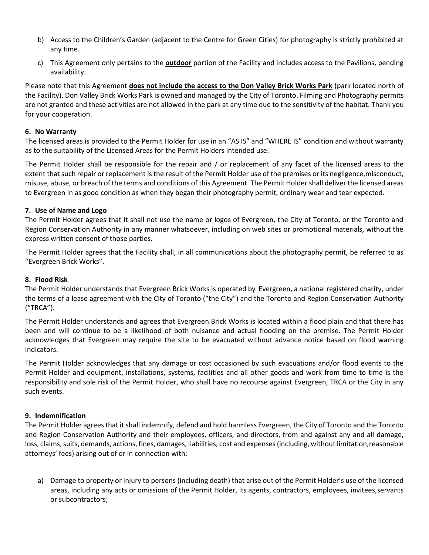- b) Access to the Children's Garden (adjacent to the Centre for Green Cities) for photography is strictly prohibited at any time.
- c) This Agreement only pertains to the **outdoor** portion of the Facility and includes access to the Pavilions, pending availability.

Please note that this Agreement **does not include the access to the Don Valley Brick Works Park** (park located north of the Facility). Don Valley Brick Works Park is owned and managed by the City of Toronto. Filming and Photography permits are not granted and these activities are not allowed in the park at any time due to the sensitivity of the habitat. Thank you for your cooperation.

### **6. No Warranty**

The licensed areas is provided to the Permit Holder for use in an "AS IS" and "WHERE IS" condition and without warranty as to the suitability of the Licensed Areas for the Permit Holders intended use.

The Permit Holder shall be responsible for the repair and / or replacement of any facet of the licensed areas to the extent that such repair or replacement is the result of the Permit Holder use of the premises or its negligence,misconduct, misuse, abuse, or breach of the terms and conditions of this Agreement. The Permit Holder shall deliver the licensed areas to Evergreen in as good condition as when they began their photography permit, ordinary wear and tear expected.

### **7. Use of Name and Logo**

The Permit Holder agrees that it shall not use the name or logos of Evergreen, the City of Toronto, or the Toronto and Region Conservation Authority in any manner whatsoever, including on web sites or promotional materials, without the express written consent of those parties.

The Permit Holder agrees that the Facility shall, in all communications about the photography permit, be referred to as "Evergreen Brick Works".

#### **8. Flood Risk**

The Permit Holder understands that Evergreen Brick Works is operated by Evergreen, a national registered charity, under the terms of a lease agreement with the City of Toronto ("the City") and the Toronto and Region Conservation Authority ("TRCA").

The Permit Holder understands and agrees that Evergreen Brick Works is located within a flood plain and that there has been and will continue to be a likelihood of both nuisance and actual flooding on the premise. The Permit Holder acknowledges that Evergreen may require the site to be evacuated without advance notice based on flood warning indicators.

The Permit Holder acknowledges that any damage or cost occasioned by such evacuations and/or flood events to the Permit Holder and equipment, installations, systems, facilities and all other goods and work from time to time is the responsibility and sole risk of the Permit Holder, who shall have no recourse against Evergreen, TRCA or the City in any such events.

## **9. Indemnification**

The Permit Holder agrees that it shall indemnify, defend and hold harmless Evergreen, the City of Toronto and the Toronto and Region Conservation Authority and their employees, officers, and directors, from and against any and all damage, loss, claims, suits, demands, actions, fines, damages, liabilities, cost and expenses (including, without limitation,reasonable attorneys' fees) arising out of or in connection with:

a) Damage to property or injury to persons (including death) that arise out of the Permit Holder's use of the licensed areas, including any acts or omissions of the Permit Holder, its agents, contractors, employees, invitees,servants or subcontractors;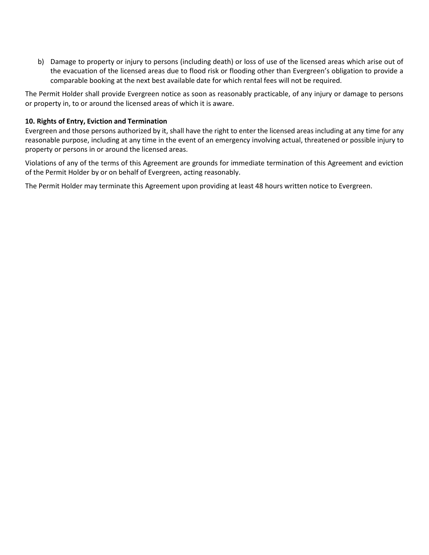b) Damage to property or injury to persons (including death) or loss of use of the licensed areas which arise out of the evacuation of the licensed areas due to flood risk or flooding other than Evergreen's obligation to provide a comparable booking at the next best available date for which rental fees will not be required.

The Permit Holder shall provide Evergreen notice as soon as reasonably practicable, of any injury or damage to persons or property in, to or around the licensed areas of which it is aware.

#### **10. Rights of Entry, Eviction and Termination**

Evergreen and those persons authorized by it, shall have the right to enter the licensed areas including at any time for any reasonable purpose, including at any time in the event of an emergency involving actual, threatened or possible injury to property or persons in or around the licensed areas.

Violations of any of the terms of this Agreement are grounds for immediate termination of this Agreement and eviction of the Permit Holder by or on behalf of Evergreen, acting reasonably.

The Permit Holder may terminate this Agreement upon providing at least 48 hours written notice to Evergreen.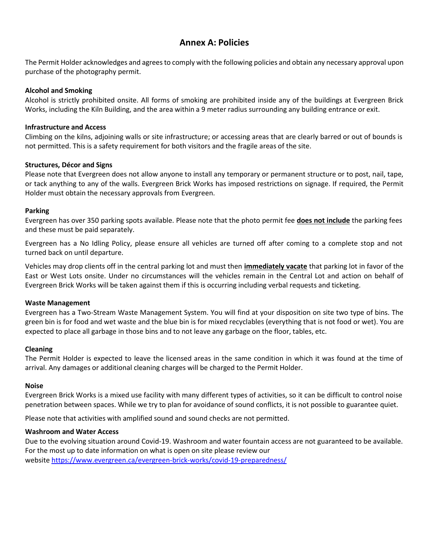# **Annex A: Policies**

The Permit Holder acknowledges and agrees to comply with the following policies and obtain any necessary approval upon purchase of the photography permit.

#### **Alcohol and Smoking**

Alcohol is strictly prohibited onsite. All forms of smoking are prohibited inside any of the buildings at Evergreen Brick Works, including the Kiln Building, and the area within a 9 meter radius surrounding any building entrance or exit.

#### **Infrastructure and Access**

Climbing on the kilns, adjoining walls or site infrastructure; or accessing areas that are clearly barred or out of bounds is not permitted. This is a safety requirement for both visitors and the fragile areas of the site.

#### **Structures, Décor and Signs**

Please note that Evergreen does not allow anyone to install any temporary or permanent structure or to post, nail, tape, or tack anything to any of the walls. Evergreen Brick Works has imposed restrictions on signage. If required, the Permit Holder must obtain the necessary approvals from Evergreen.

#### **Parking**

Evergreen has over 350 parking spots available. Please note that the photo permit fee **does not include** the parking fees and these must be paid separately.

Evergreen has a No Idling Policy, please ensure all vehicles are turned off after coming to a complete stop and not turned back on until departure.

Vehicles may drop clients off in the central parking lot and must then **immediately vacate** that parking lot in favor of the East or West Lots onsite. Under no circumstances will the vehicles remain in the Central Lot and action on behalf of Evergreen Brick Works will be taken against them if this is occurring including verbal requests and ticketing.

#### **Waste Management**

Evergreen has a Two-Stream Waste Management System. You will find at your disposition on site two type of bins. The green bin is for food and wet waste and the blue bin is for mixed recyclables (everything that is not food or wet). You are expected to place all garbage in those bins and to not leave any garbage on the floor, tables, etc.

#### **Cleaning**

The Permit Holder is expected to leave the licensed areas in the same condition in which it was found at the time of arrival. Any damages or additional cleaning charges will be charged to the Permit Holder.

#### **Noise**

Evergreen Brick Works is a mixed use facility with many different types of activities, so it can be difficult to control noise penetration between spaces. While we try to plan for avoidance of sound conflicts, it is not possible to guarantee quiet.

Please note that activities with amplified sound and sound checks are not permitted.

#### **Washroom and Water Access**

Due to the evolving situation around Covid-19. Washroom and water fountain access are not guaranteed to be available. For the most up to date information on what is open on site please review our website <https://www.evergreen.ca/evergreen-brick-works/covid-19-preparedness/>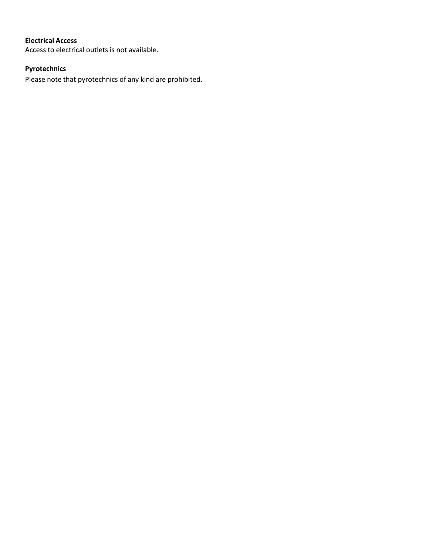## **Electrical Access**

Access to electrical outlets is not available.

## **Pyrotechnics**

Please note that pyrotechnics of any kind are prohibited.